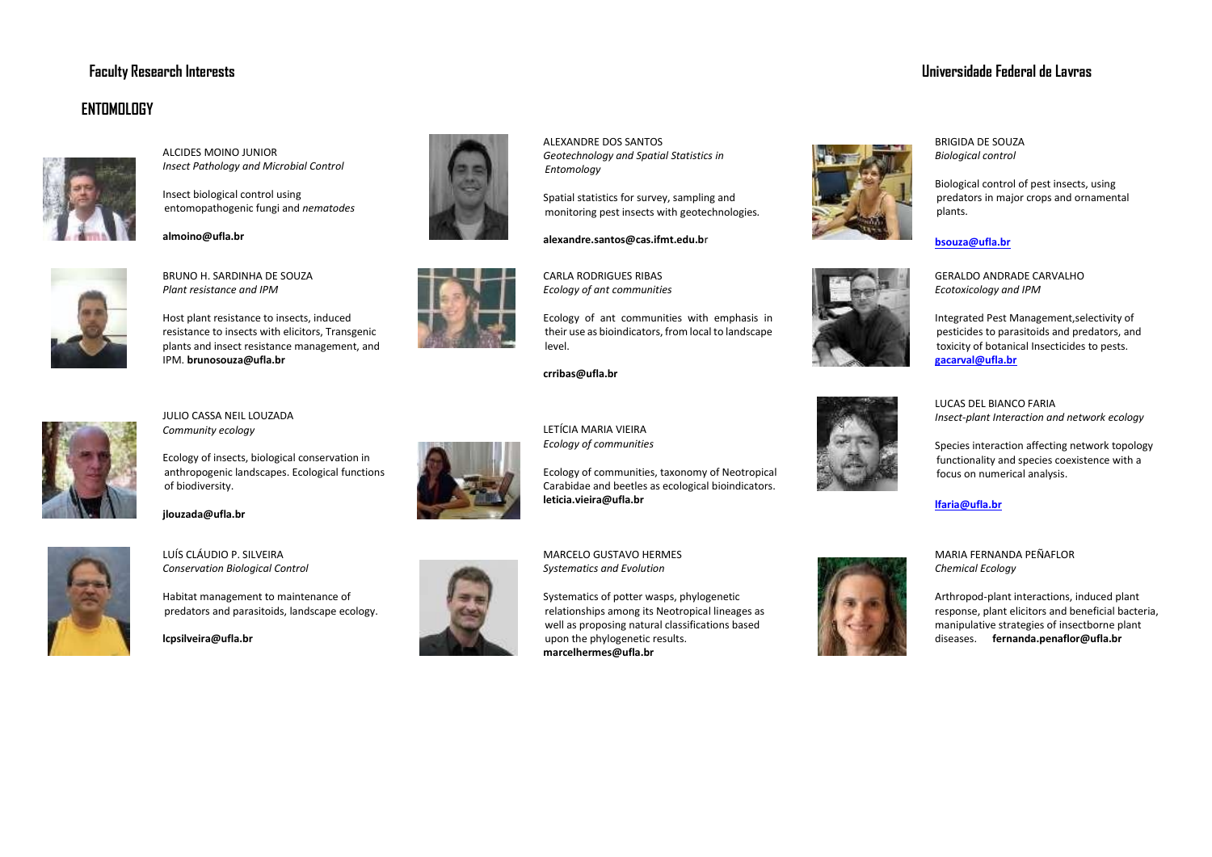## **Faculty Research Interests Universidade Federal de Lavras**

## **ENTOMOLOGY**



ALCIDES MOINO JUNIOR *Insect Pathology and Microbial Control* 

Insect biological control using entomopathogenic fungi and *nematodes* 

**almoino@ufla.br** 



BRUNO H. SARDINHA DE SOUZA *Plant resistance and IPM* 

Host plant resistance to insects, induced resistance to insects with elicitors, Transgenic plants and insect resistance management, and IPM. **brunosouza@ufla.br** 



JULIO CASSA NEIL LOUZADA *Community ecology* 

Ecology of insects, biological conservation in anthropogenic landscapes. Ecological functions of biodiversity.

**jlouzada@ufla.br** 



LUÍS CLÁUDIO P. SILVEIRA *Conservation Biological Control*

Habitat management to maintenance of predators and parasitoids, landscape ecology.

**lcpsilveira@ufla.br** 









ALEXANDRE DOS SANTOS *Geotechnology and Spatial Statistics in Entomology* 

Spatial statistics for survey, sampling and monitoring pest insects with geotechnologies*.* 

**alexandre.santos@cas.ifmt.edu.b**r

CARLA RODRIGUES RIBAS *Ecology of ant communities* 

Ecology of ant communities with emphasis in their use as bioindicators, from local to landscape level.

**crribas@ufla.br** 

LETÍCIA MARIA VIEIRA *Ecology of communities* 

**leticia.vieira@ufla.br** 



MARCELO GUSTAVO HERMES *Systematics and Evolution* 

Systematics of potter wasps, phylogenetic relationships among its Neotropical lineages as well as proposing natural classifications based upon the phylogenetic results. **marcelhermes@ufla.br** 





**bsouza@ufla.br**

plants.

GERALDO ANDRADE CARVALHO *Ecotoxicology and IPM* 

Integrated Pest Management,selectivity of pesticides to parasitoids and predators, and toxicity of botanical Insecticides to pests. **gacarval@ufla.br**



LUCAS DEL BIANCO FARIA *Insect-plant Interaction and network ecology* 

Species interaction affecting network topology functionality and species coexistence with a focus on numerical analysis.

## **lfaria@ufla.br**

MARIA FERNANDA PEÑAFLOR *Chemical Ecology* 

Arthropod-plant interactions, induced plant response, plant elicitors and beneficial bacteria, manipulative strategies of insectborne plant diseases. **fernanda.penaflor@ufla.br** 



Ecology of communities, taxonomy of Neotropical Carabidae and beetles as ecological bioindicators.

BRIGIDA DE SOUZA *Biological control* 

Biological control of pest insects, using predators in major crops and ornamental